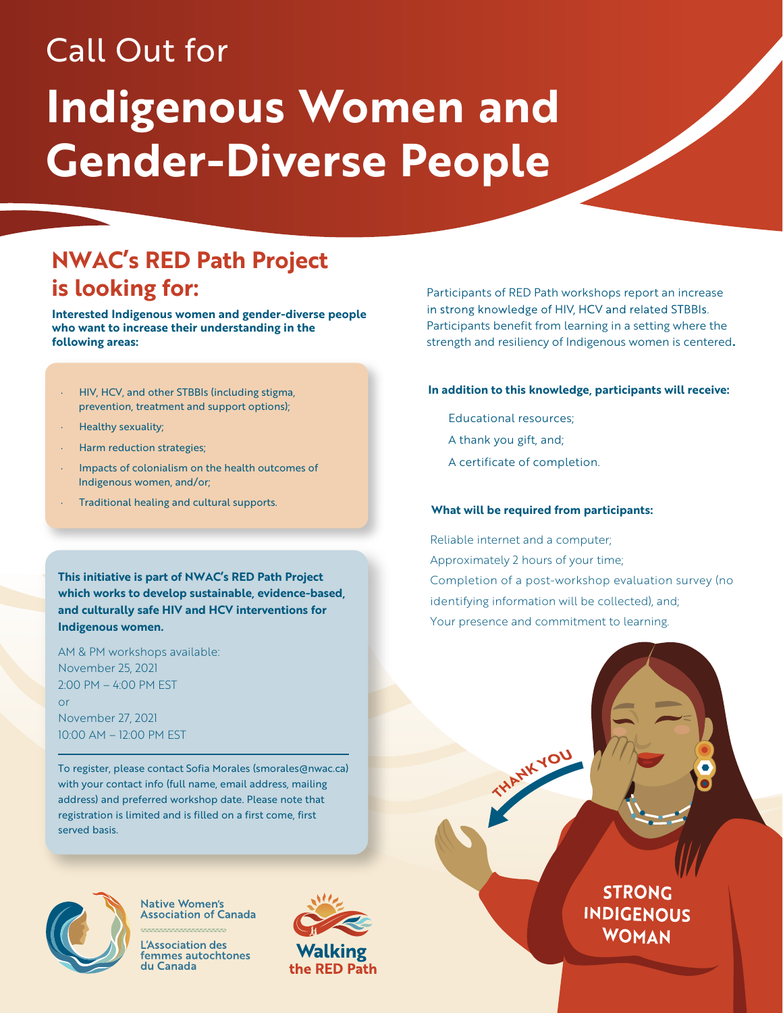# Call Out for

# **Indigenous Women and Gender-Diverse People**

## **NWAC's RED Path Project is looking for:**

**Interested Indigenous women and gender-diverse people who want to increase their understanding in the following areas:**

- · HIV, HCV, and other STBBIs (including stigma, prevention, treatment and support options);
- · Healthy sexuality;
- · Harm reduction strategies;
- Impacts of colonialism on the health outcomes of Indigenous women, and/or;
- · Traditional healing and cultural supports.

**This initiative is part of NWAC's RED Path Project which works to develop sustainable, evidence-based, and culturally safe HIV and HCV interventions for Indigenous women.**

AM & PM workshops available: November 25, 2021 2:00 PM – 4:00 PM EST

November 27, 2021 10:00 AM – 12:00 PM EST or

To register, please contact Sofia Morales (smorales@nwac.ca) with your contact info (full name, email address, mailing address) and preferred workshop date. Please note that registration is limited and is filled on a first come, first served basis.



**Native Women's Association of Canada** 

Association des femmes autochtones du Canada



Participants of RED Path workshops report an increase in strong knowledge of HIV, HCV and related STBBIs. Participants benefit from learning in a setting where the strength and resiliency of Indigenous women is centered**.**

#### **In addition to this knowledge, participants will receive:**

- Educational resources;
- A thank you gift, and;
- A certificate of completion.

#### **What will be required from participants:**

THANKYOU

Reliable internet and a computer; Approximately 2 hours of your time; Completion of a post-workshop evaluation survey (no identifying information will be collected), and; Your presence and commitment to learning.

> **STRONG INDIGENOUS WOMAN**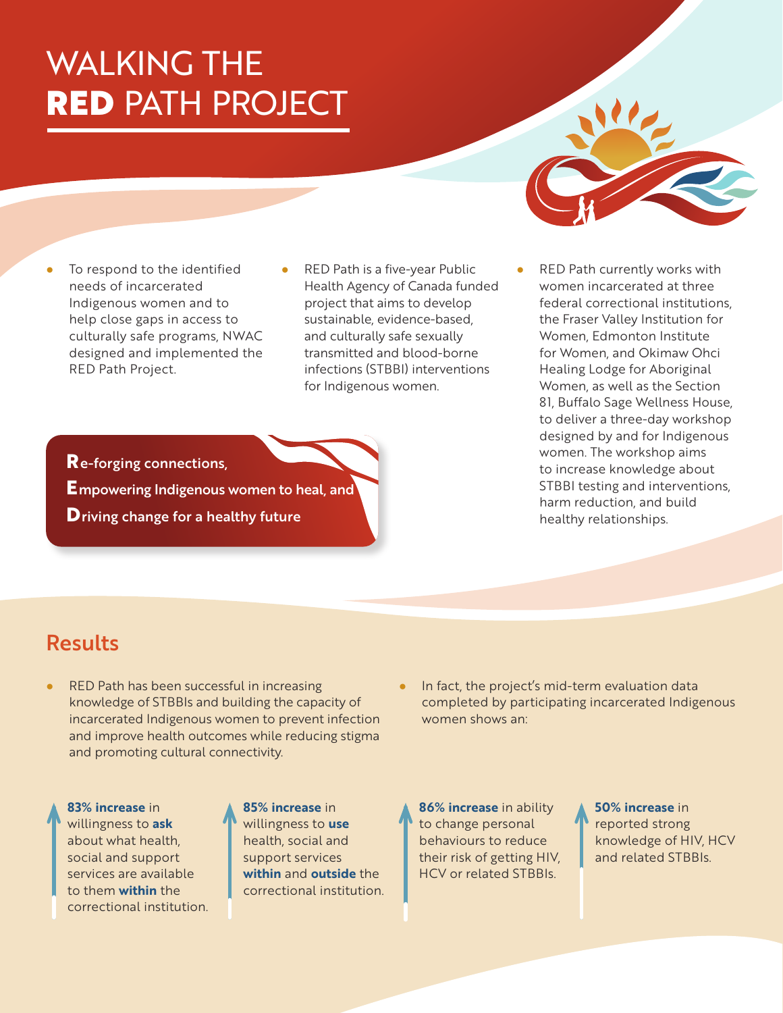## WALKING THE RED PATH PROJECT

- To respond to the identified needs of incarcerated Indigenous women and to help close gaps in access to culturally safe programs, NWAC designed and implemented the RED Path Project.
- RED Path is a five-year Public Health Agency of Canada funded project that aims to develop sustainable, evidence-based, and culturally safe sexually transmitted and blood-borne infections (STBBI) interventions for Indigenous women.
- RED Path currently works with women incarcerated at three federal correctional institutions, the Fraser Valley Institution for Women, Edmonton Institute for Women, and Okimaw Ohci Healing Lodge for Aboriginal Women, as well as the Section 81, Buffalo Sage Wellness House, to deliver a three-day workshop designed by and for Indigenous women. The workshop aims to increase knowledge about STBBI testing and interventions, harm reduction, and build healthy relationships.

**R**e-forging connections,

**E**mpowering Indigenous women to heal, and

**D**riving change for a healthy future

### Results

- RED Path has been successful in increasing knowledge of STBBIs and building the capacity of incarcerated Indigenous women to prevent infection and improve health outcomes while reducing stigma and promoting cultural connectivity.
	- **83% increase** in willingness to **ask** about what health, social and support services are available to them **within** the correctional institution.

**85% increase** in willingness to **use** health, social and support services **within** and **outside** the correctional institution.

In fact, the project's mid-term evaluation data completed by participating incarcerated Indigenous women shows an:

**86% increase** in ability to change personal behaviours to reduce their risk of getting HIV, HCV or related STBBIs.

**50% increase** in reported strong knowledge of HIV, HCV and related STBBIs.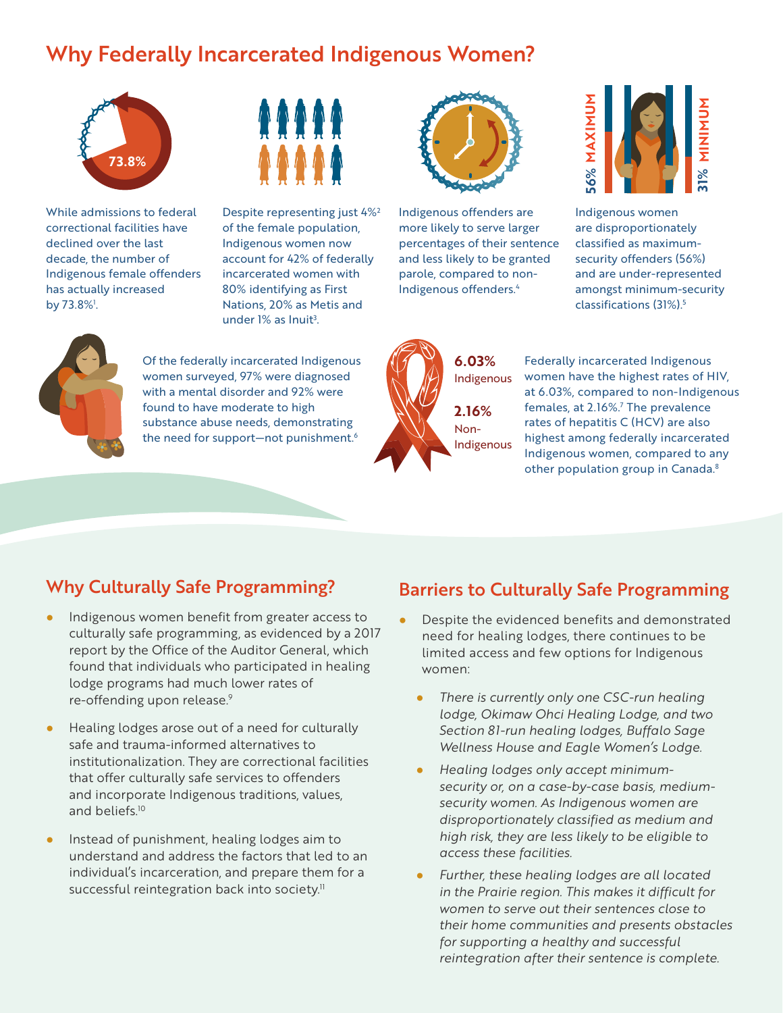#### Why Federally Incarcerated Indigenous Women?



While admissions to federal correctional facilities have declined over the last decade, the number of Indigenous female offenders has actually increased by 73.8%<sup>1</sup>.



Despite representing just 4%2 of the female population, Indigenous women now account for 42% of federally incarcerated women with 80% identifying as First Nations, 20% as Metis and under 1% as Inuit<sup>3</sup>.



Indigenous offenders are more likely to serve larger percentages of their sentence and less likely to be granted parole, compared to non-Indigenous offenders.4



Indigenous women are disproportionately classified as maximumsecurity offenders (56%) and are under-represented amongst minimum-security classifications (31%).5



Of the federally incarcerated Indigenous women surveyed, 97% were diagnosed with a mental disorder and 92% were found to have moderate to high substance abuse needs, demonstrating the need for support-not punishment.<sup>6</sup>



Federally incarcerated Indigenous women have the highest rates of HIV, at 6.03%, compared to non-Indigenous females, at 2.16%.<sup>7</sup> The prevalence rates of hepatitis C (HCV) are also highest among federally incarcerated Indigenous women, compared to any other population group in Canada.<sup>8</sup>

#### Why Culturally Safe Programming?

- Indigenous women benefit from greater access to culturally safe programming, as evidenced by a 2017 report by the Office of the Auditor General, which found that individuals who participated in healing lodge programs had much lower rates of re-offending upon release.9
- Healing lodges arose out of a need for culturally safe and trauma-informed alternatives to institutionalization. They are correctional facilities that offer culturally safe services to offenders and incorporate Indigenous traditions, values, and beliefs.10
- Instead of punishment, healing lodges aim to understand and address the factors that led to an individual's incarceration, and prepare them for a successful reintegration back into society.<sup>11</sup>

#### Barriers to Culturally Safe Programming

- Despite the evidenced benefits and demonstrated need for healing lodges, there continues to be limited access and few options for Indigenous women:
	- *There is currently only one CSC-run healing lodge, Okimaw Ohci Healing Lodge, and two Section 81-run healing lodges, Buffalo Sage Wellness House and Eagle Women's Lodge.*
	- *Healing lodges only accept minimumsecurity or, on a case-by-case basis, mediumsecurity women. As Indigenous women are disproportionately classified as medium and high risk, they are less likely to be eligible to access these facilities.*
	- Further, these healing lodges are all located *in the Prairie region. This makes it difficult for women to serve out their sentences close to their home communities and presents obstacles for supporting a healthy and successful reintegration after their sentence is complete.*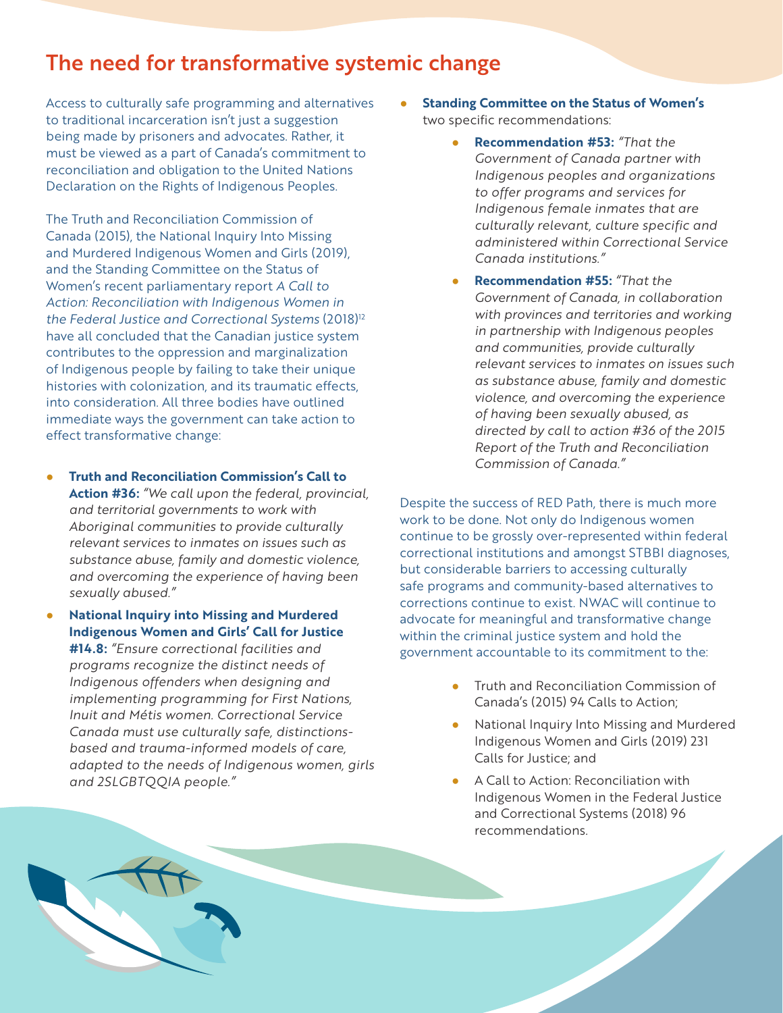#### The need for transformative systemic change

Access to culturally safe programming and alternatives to traditional incarceration isn't just a suggestion being made by prisoners and advocates. Rather, it must be viewed as a part of Canada's commitment to reconciliation and obligation to the United Nations Declaration on the Rights of Indigenous Peoples.

The Truth and Reconciliation Commission of Canada (2015), the National Inquiry Into Missing and Murdered Indigenous Women and Girls (2019), and the Standing Committee on the Status of Women's recent parliamentary report *A Call to Action: Reconciliation with Indigenous Women in the Federal Justice and Correctional Systems* (2018)12 have all concluded that the Canadian justice system contributes to the oppression and marginalization of Indigenous people by failing to take their unique histories with colonization, and its traumatic effects, into consideration. All three bodies have outlined immediate ways the government can take action to effect transformative change:

- **Truth and Reconciliation Commission's Call to Action #36:** *"We call upon the federal, provincial, and territorial governments to work with Aboriginal communities to provide culturally relevant services to inmates on issues such as substance abuse, family and domestic violence, and overcoming the experience of having been sexually abused."*
- **National Inquiry into Missing and Murdered Indigenous Women and Girls' Call for Justice #14.8:** *"Ensure correctional facilities and programs recognize the distinct needs of Indigenous offenders when designing and implementing programming for First Nations, Inuit and Métis women. Correctional Service Canada must use culturally safe, distinctionsbased and trauma-informed models of care, adapted to the needs of Indigenous women, girls and 2SLGBTQQIA people."*
- **Standing Committee on the Status of Women's** two specific recommendations:
	- **Recommendation #53:** *"That the Government of Canada partner with Indigenous peoples and organizations to offer programs and services for Indigenous female inmates that are culturally relevant, culture specific and administered within Correctional Service Canada institutions."*
	- **Recommendation #55:** *"That the Government of Canada, in collaboration with provinces and territories and working in partnership with Indigenous peoples and communities, provide culturally relevant services to inmates on issues such as substance abuse, family and domestic violence, and overcoming the experience of having been sexually abused, as directed by call to action #36 of the 2015 Report of the Truth and Reconciliation Commission of Canada."*

Despite the success of RED Path, there is much more work to be done. Not only do Indigenous women continue to be grossly over-represented within federal correctional institutions and amongst STBBI diagnoses, but considerable barriers to accessing culturally safe programs and community-based alternatives to corrections continue to exist. NWAC will continue to advocate for meaningful and transformative change within the criminal justice system and hold the government accountable to its commitment to the:

- **Truth and Reconciliation Commission of** Canada's (2015) 94 Calls to Action;
- National Inquiry Into Missing and Murdered Indigenous Women and Girls (2019) 231 Calls for Justice; and
- A Call to Action: Reconciliation with Indigenous Women in the Federal Justice and Correctional Systems (2018) 96 recommendations*.*